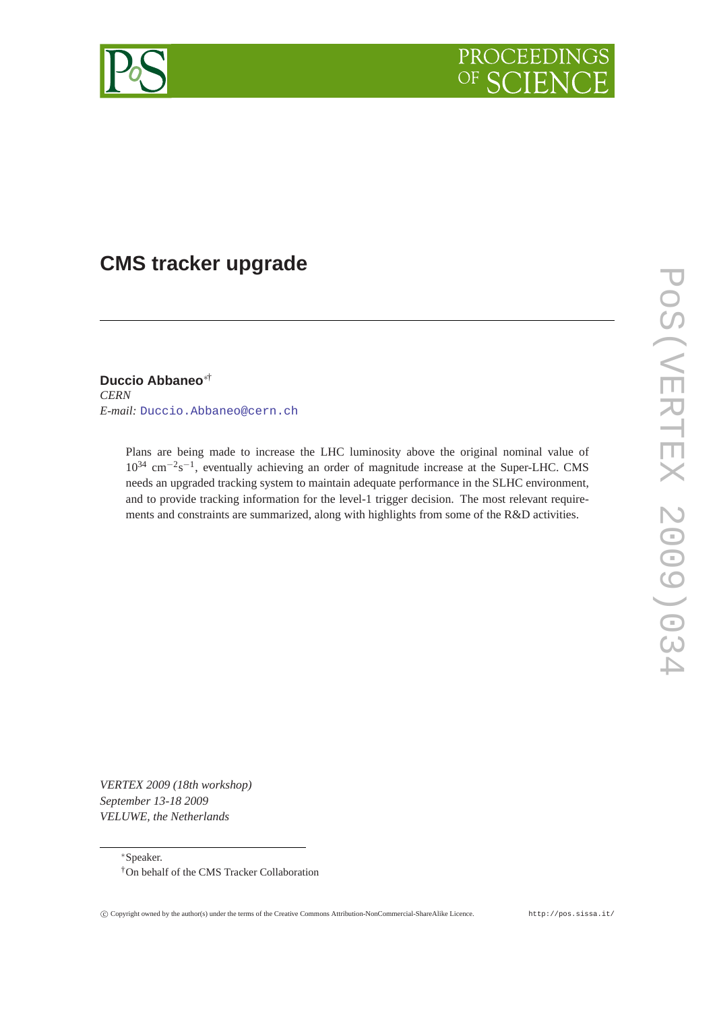

# **CMS tracker upgrade**

**Duccio Abbaneo**∗† *CERN E-mail:* [Duccio.Abbaneo@cern.ch](mailto:Duccio.Abbaneo@cern.ch)

> Plans are being made to increase the LHC luminosity above the original nominal value of 10<sup>34</sup> cm<sup>-2</sup>s<sup>-1</sup>, eventually achieving an order of magnitude increase at the Super-LHC. CMS needs an upgraded tracking system to maintain adequate performance in the SLHC environment, and to provide tracking information for the level-1 trigger decision. The most relevant requirements and constraints are summarized, along with highlights from some of the R&D activities.

*VERTEX 2009 (18th workshop) September 13-18 2009 VELUWE, the Netherlands*

<sup>∗</sup>Speaker.



<sup>†</sup>On behalf of the CMS Tracker Collaboration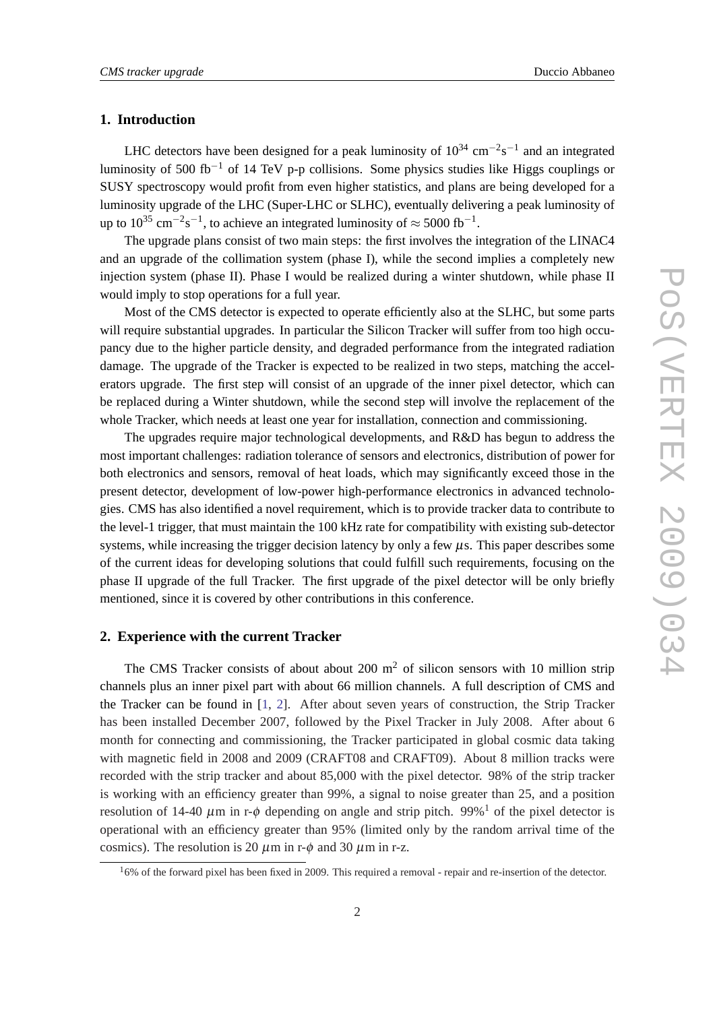## **1. Introduction**

LHC detectors have been designed for a peak luminosity of  $10^{34}$  cm<sup>-2</sup>s<sup>-1</sup> and an integrated luminosity of 500 fb<sup>-1</sup> of 14 TeV p-p collisions. Some physics studies like Higgs couplings or SUSY spectroscopy would profit from even higher statistics, and plans are being developed for a luminosity upgrade of the LHC (Super-LHC or SLHC), eventually delivering a peak luminosity of up to 10<sup>35</sup> cm<sup>-2</sup>s<sup>-1</sup>, to achieve an integrated luminosity of  $\approx$  5000 fb<sup>-1</sup>.

The upgrade plans consist of two main steps: the first involves the integration of the LINAC4 and an upgrade of the collimation system (phase I), while the second implies a completely new injection system (phase II). Phase I would be realized during a winter shutdown, while phase II would imply to stop operations for a full year.

Most of the CMS detector is expected to operate efficiently also at the SLHC, but some parts will require substantial upgrades. In particular the Silicon Tracker will suffer from too high occupancy due to the higher particle density, and degraded performance from the integrated radiation damage. The upgrade of the Tracker is expected to be realized in two steps, matching the accelerators upgrade. The first step will consist of an upgrade of the inner pixel detector, which can be replaced during a Winter shutdown, while the second step will involve the replacement of the whole Tracker, which needs at least one year for installation, connection and commissioning.

The upgrades require major technological developments, and R&D has begun to address the most important challenges: radiation tolerance of sensors and electronics, distribution of power for both electronics and sensors, removal of heat loads, which may significantly exceed those in the present detector, development of low-power high-performance electronics in advanced technologies. CMS has also identified a novel requirement, which is to provide tracker data to contribute to the level-1 trigger, that must maintain the 100 kHz rate for compatibility with existing sub-detector systems, while increasing the trigger decision latency by only a few  $\mu$ s. This paper describes some of the current ideas for developing solutions that could fulfill such requirements, focusing on the phase II upgrade of the full Tracker. The first upgrade of the pixel detector will be only briefly mentioned, since it is covered by other contributions in this conference.

### **2. Experience with the current Tracker**

The CMS Tracker consists of about about 200  $\text{m}^2$  of silicon sensors with 10 million strip channels plus an inner pixel part with about 66 million channels. A full description of CMS and the Tracker can be found in [\[1,](#page-7-0) [2\]](#page-7-0). After about seven years of construction, the Strip Tracker has been installed December 2007, followed by the Pixel Tracker in July 2008. After about 6 month for connecting and commissioning, the Tracker participated in global cosmic data taking with magnetic field in 2008 and 2009 (CRAFT08 and CRAFT09). About 8 million tracks were recorded with the strip tracker and about 85,000 with the pixel detector. 98% of the strip tracker is working with an efficiency greater than 99%, a signal to noise greater than 25, and a position resolution of 14-40  $\mu$ m in r- $\phi$  depending on angle and strip pitch. 99%<sup>1</sup> of the pixel detector is operational with an efficiency greater than 95% (limited only by the random arrival time of the cosmics). The resolution is 20  $\mu$ m in r- $\phi$  and 30  $\mu$ m in r-z.

 $16\%$  of the forward pixel has been fixed in 2009. This required a removal - repair and re-insertion of the detector.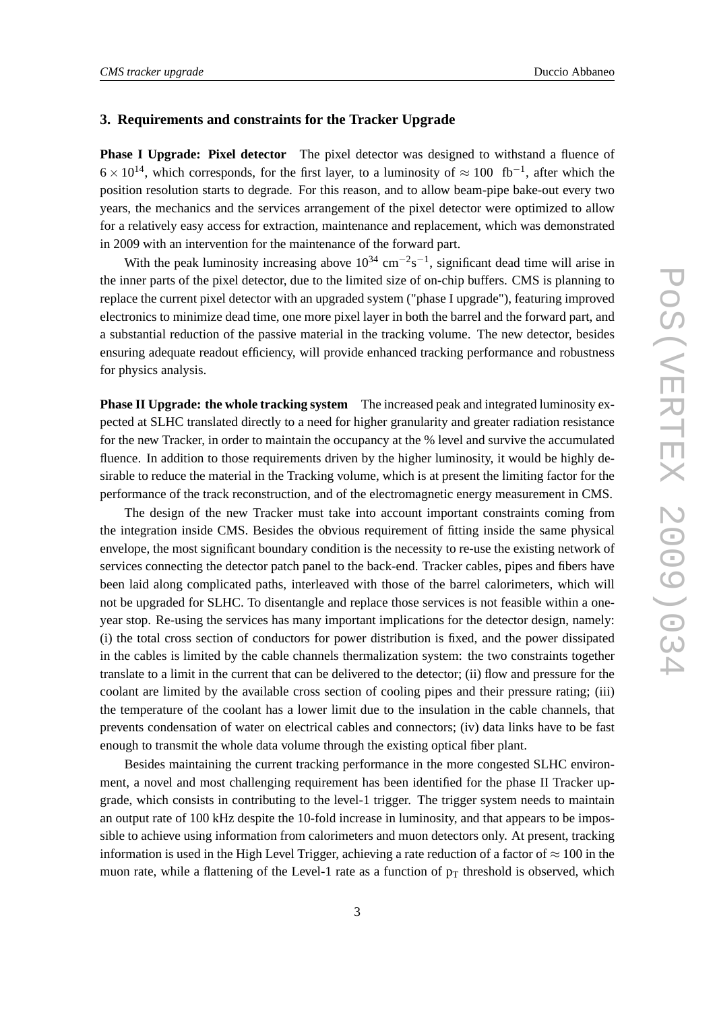## **3. Requirements and constraints for the Tracker Upgrade**

**Phase I Upgrade: Pixel detector** The pixel detector was designed to withstand a fluence of  $6 \times 10^{14}$ , which corresponds, for the first layer, to a luminosity of  $\approx 100$  fb<sup>-1</sup>, after which the position resolution starts to degrade. For this reason, and to allow beam-pipe bake-out every two years, the mechanics and the services arrangement of the pixel detector were optimized to allow for a relatively easy access for extraction, maintenance and replacement, which was demonstrated in 2009 with an intervention for the maintenance of the forward part.

With the peak luminosity increasing above  $10^{34}$  cm<sup>-2</sup>s<sup>-1</sup>, significant dead time will arise in the inner parts of the pixel detector, due to the limited size of on-chip buffers. CMS is planning to replace the current pixel detector with an upgraded system ("phase I upgrade"), featuring improved electronics to minimize dead time, one more pixel layer in both the barrel and the forward part, and a substantial reduction of the passive material in the tracking volume. The new detector, besides ensuring adequate readout efficiency, will provide enhanced tracking performance and robustness for physics analysis.

**Phase II Upgrade: the whole tracking system** The increased peak and integrated luminosity expected at SLHC translated directly to a need for higher granularity and greater radiation resistance for the new Tracker, in order to maintain the occupancy at the % level and survive the accumulated fluence. In addition to those requirements driven by the higher luminosity, it would be highly desirable to reduce the material in the Tracking volume, which is at present the limiting factor for the performance of the track reconstruction, and of the electromagnetic energy measurement in CMS.

The design of the new Tracker must take into account important constraints coming from the integration inside CMS. Besides the obvious requirement of fitting inside the same physical envelope, the most significant boundary condition is the necessity to re-use the existing network of services connecting the detector patch panel to the back-end. Tracker cables, pipes and fibers have been laid along complicated paths, interleaved with those of the barrel calorimeters, which will not be upgraded for SLHC. To disentangle and replace those services is not feasible within a oneyear stop. Re-using the services has many important implications for the detector design, namely: (i) the total cross section of conductors for power distribution is fixed, and the power dissipated in the cables is limited by the cable channels thermalization system: the two constraints together translate to a limit in the current that can be delivered to the detector; (ii) flow and pressure for the coolant are limited by the available cross section of cooling pipes and their pressure rating; (iii) the temperature of the coolant has a lower limit due to the insulation in the cable channels, that prevents condensation of water on electrical cables and connectors; (iv) data links have to be fast enough to transmit the whole data volume through the existing optical fiber plant.

Besides maintaining the current tracking performance in the more congested SLHC environment, a novel and most challenging requirement has been identified for the phase II Tracker upgrade, which consists in contributing to the level-1 trigger. The trigger system needs to maintain an output rate of 100 kHz despite the 10-fold increase in luminosity, and that appears to be impossible to achieve using information from calorimeters and muon detectors only. At present, tracking information is used in the High Level Trigger, achieving a rate reduction of a factor of  $\approx 100$  in the muon rate, while a flattening of the Level-1 rate as a function of  $p_T$  threshold is observed, which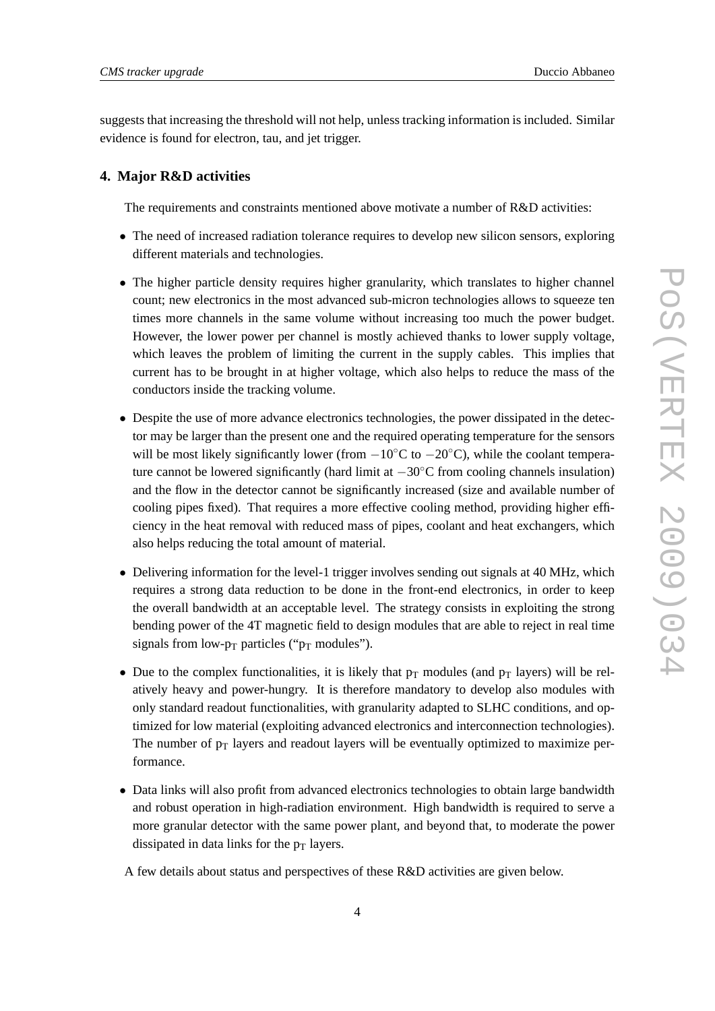suggests that increasing the threshold will not help, unless tracking information is included. Similar evidence is found for electron, tau, and jet trigger.

#### **4. Major R&D activities**

The requirements and constraints mentioned above motivate a number of R&D activities:

- The need of increased radiation tolerance requires to develop new silicon sensors, exploring different materials and technologies.
- The higher particle density requires higher granularity, which translates to higher channel count; new electronics in the most advanced sub-micron technologies allows to squeeze ten times more channels in the same volume without increasing too much the power budget. However, the lower power per channel is mostly achieved thanks to lower supply voltage, which leaves the problem of limiting the current in the supply cables. This implies that current has to be brought in at higher voltage, which also helps to reduce the mass of the conductors inside the tracking volume.
- Despite the use of more advance electronics technologies, the power dissipated in the detector may be larger than the present one and the required operating temperature for the sensors will be most likely significantly lower (from  $-10\degree C$  to  $-20\degree C$ ), while the coolant temperature cannot be lowered significantly (hard limit at  $-30\degree$ C from cooling channels insulation) and the flow in the detector cannot be significantly increased (size and available number of cooling pipes fixed). That requires a more effective cooling method, providing higher efficiency in the heat removal with reduced mass of pipes, coolant and heat exchangers, which also helps reducing the total amount of material.
- Delivering information for the level-1 trigger involves sending out signals at 40 MHz, which requires a strong data reduction to be done in the front-end electronics, in order to keep the overall bandwidth at an acceptable level. The strategy consists in exploiting the strong bending power of the 4T magnetic field to design modules that are able to reject in real time signals from low- $p_T$  particles (" $p_T$  modules").
- Due to the complex functionalities, it is likely that  $p_T$  modules (and  $p_T$  layers) will be relatively heavy and power-hungry. It is therefore mandatory to develop also modules with only standard readout functionalities, with granularity adapted to SLHC conditions, and optimized for low material (exploiting advanced electronics and interconnection technologies). The number of  $p_T$  layers and readout layers will be eventually optimized to maximize performance.
- Data links will also profit from advanced electronics technologies to obtain large bandwidth and robust operation in high-radiation environment. High bandwidth is required to serve a more granular detector with the same power plant, and beyond that, to moderate the power dissipated in data links for the  $p_T$  layers.

A few details about status and perspectives of these R&D activities are given below.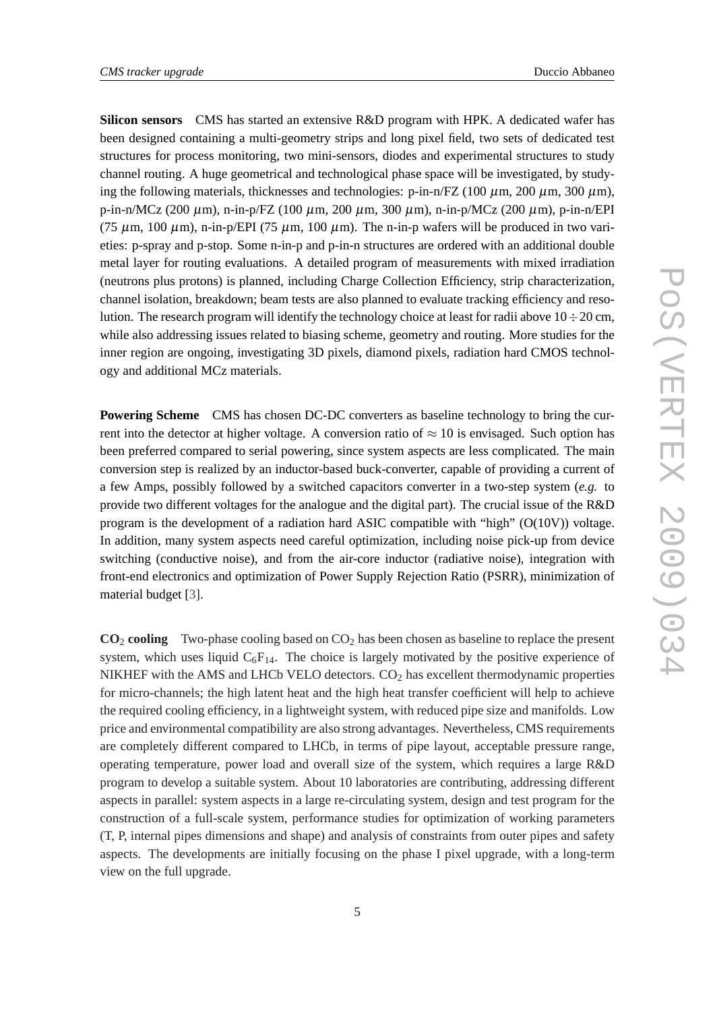**Silicon sensors** CMS has started an extensive R&D program with HPK. A dedicated wafer has been designed containing a multi-geometry strips and long pixel field, two sets of dedicated test structures for process monitoring, two mini-sensors, diodes and experimental structures to study channel routing. A huge geometrical and technological phase space will be investigated, by studying the following materials, thicknesses and technologies: p-in-n/FZ (100  $\mu$ m, 200  $\mu$ m, 300  $\mu$ m), p-in-n/MCz (200  $\mu$ m), n-in-p/FZ (100  $\mu$ m, 200  $\mu$ m, 300  $\mu$ m), n-in-p/MCz (200  $\mu$ m), p-in-n/EPI (75  $\mu$ m, 100  $\mu$ m), n-in-p/EPI (75  $\mu$ m, 100  $\mu$ m). The n-in-p wafers will be produced in two varieties: p-spray and p-stop. Some n-in-p and p-in-n structures are ordered with an additional double metal layer for routing evaluations. A detailed program of measurements with mixed irradiation (neutrons plus protons) is planned, including Charge Collection Efficiency, strip characterization, channel isolation, breakdown; beam tests are also planned to evaluate tracking efficiency and resolution. The research program will identify the technology choice at least for radii above  $10 \div 20$  cm, while also addressing issues related to biasing scheme, geometry and routing. More studies for the inner region are ongoing, investigating 3D pixels, diamond pixels, radiation hard CMOS technology and additional MCz materials.

**Powering Scheme** CMS has chosen DC-DC converters as baseline technology to bring the current into the detector at higher voltage. A conversion ratio of  $\approx 10$  is envisaged. Such option has been preferred compared to serial powering, since system aspects are less complicated. The main conversion step is realized by an inductor-based buck-converter, capable of providing a current of a few Amps, possibly followed by a switched capacitors converter in a two-step system (*e.g.* to provide two different voltages for the analogue and the digital part). The crucial issue of the R&D program is the development of a radiation hard ASIC compatible with "high" (O(10V)) voltage. In addition, many system aspects need careful optimization, including noise pick-up from device switching (conductive noise), and from the air-core inductor (radiative noise), integration with front-end electronics and optimization of Power Supply Rejection Ratio (PSRR), minimization of material budget [[3](#page-7-0)].

 $CO<sub>2</sub>$  **cooling** Two-phase cooling based on  $CO<sub>2</sub>$  has been chosen as baseline to replace the present system, which uses liquid  $C_6F_{14}$ . The choice is largely motivated by the positive experience of NIKHEF with the AMS and LHCb VELO detectors.  $CO<sub>2</sub>$  has excellent thermodynamic properties for micro-channels; the high latent heat and the high heat transfer coefficient will help to achieve the required cooling efficiency, in a lightweight system, with reduced pipe size and manifolds. Low price and environmental compatibility are also strong advantages. Nevertheless, CMS requirements are completely different compared to LHCb, in terms of pipe layout, acceptable pressure range, operating temperature, power load and overall size of the system, which requires a large R&D program to develop a suitable system. About 10 laboratories are contributing, addressing different aspects in parallel: system aspects in a large re-circulating system, design and test program for the construction of a full-scale system, performance studies for optimization of working parameters (T, P, internal pipes dimensions and shape) and analysis of constraints from outer pipes and safety aspects. The developments are initially focusing on the phase I pixel upgrade, with a long-term view on the full upgrade.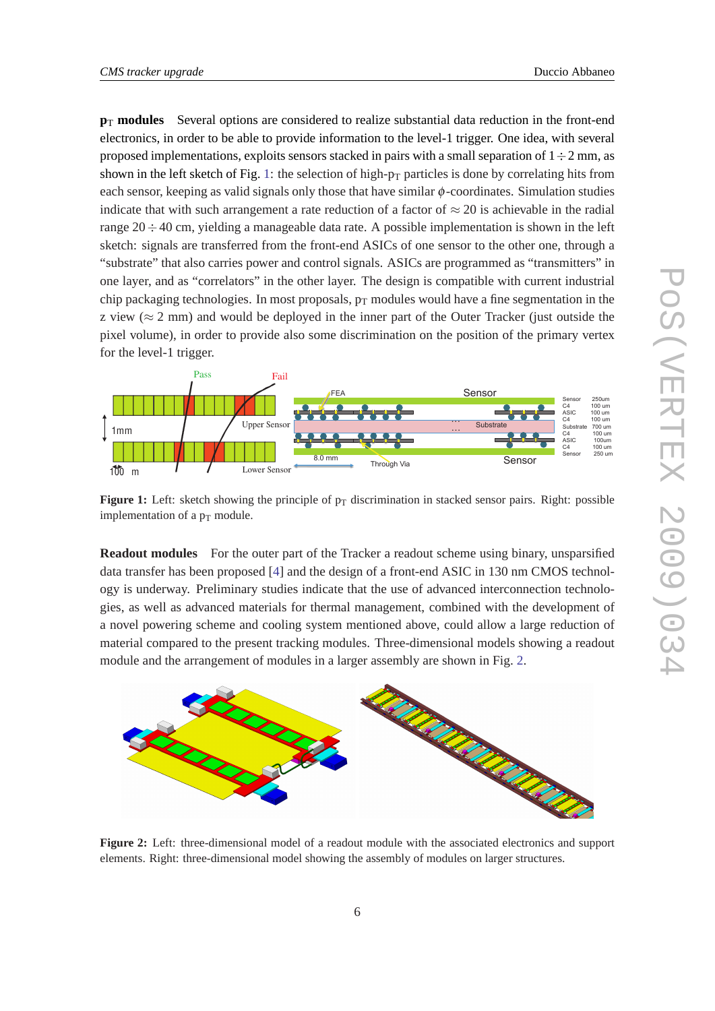$p_T$  **modules** Several options are considered to realize substantial data reduction in the front-end electronics, in order to be able to provide information to the level-1 trigger. One idea, with several proposed implementations, exploits sensors stacked in pairs with a small separation of  $1 \div 2$  mm, as shown in the left sketch of Fig. 1: the selection of high- $p_T$  particles is done by correlating hits from each sensor, keeping as valid signals only those that have similar  $\phi$ -coordinates. Simulation studies indicate that with such arrangement a rate reduction of a factor of  $\approx$  20 is achievable in the radial range  $20 \div 40$  cm, yielding a manageable data rate. A possible implementation is shown in the left sketch: signals are transferred from the front-end ASICs of one sensor to the other one, through a "substrate" that also carries power and control signals. ASICs are programmed as "transmitters" in one layer, and as "correlators" in the other layer. The design is compatible with current industrial chip packaging technologies. In most proposals,  $p_T$  modules would have a fine segmentation in the z view ( $\approx$  2 mm) and would be deployed in the inner part of the Outer Tracker (just outside the pixel volume), in order to provide also some discrimination on the position of the primary vertex for the level-1 trigger.



**Figure 1:** Left: sketch showing the principle of  $p<sub>T</sub>$  discrimination in stacked sensor pairs. Right: possible implementation of a  $p_T$  module.

**Readout modules** For the outer part of the Tracker a readout scheme using binary, unsparsified data transfer has been proposed [\[4\]](#page-7-0) and the design of a front-end ASIC in 130 nm CMOS technology is underway. Preliminary studies indicate that the use of advanced interconnection technologies, as well as advanced materials for thermal management, combined with the development of a novel powering scheme and cooling system mentioned above, could allow a large reduction of material compared to the present tracking modules. Three-dimensional models showing a readout module and the arrangement of modules in a larger assembly are shown in Fig. 2.



**Figure 2:** Left: three-dimensional model of a readout module with the associated electronics and support elements. Right: three-dimensional model showing the assembly of modules on larger structures.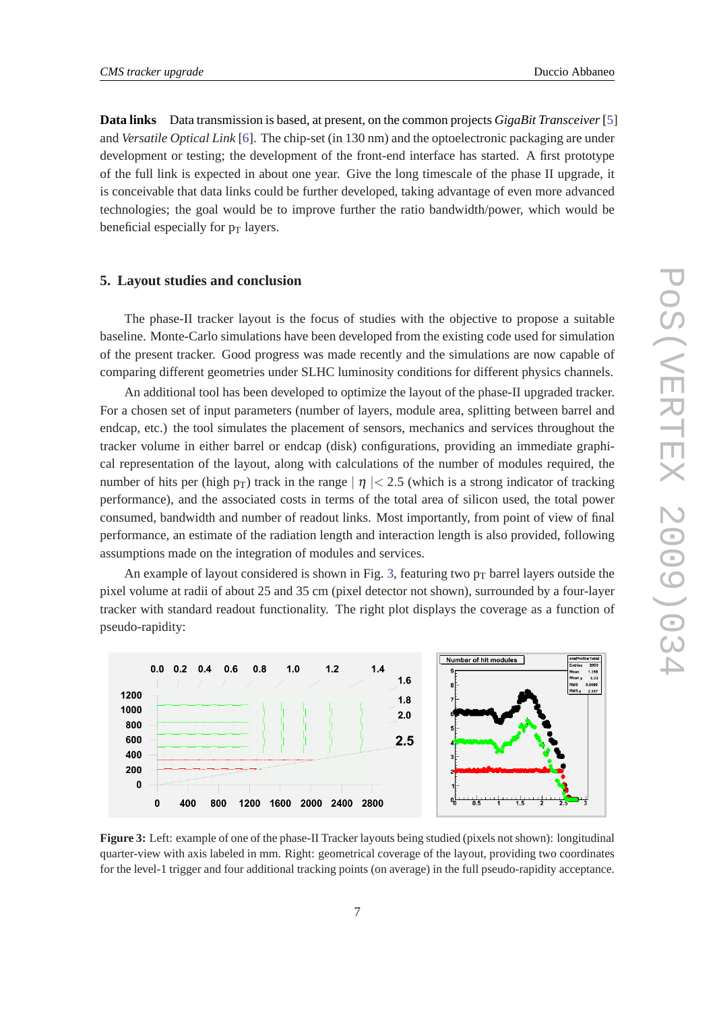**Data links** Data transmission is based, at present, on the common projects *GigaBit Transceiver*[[5\]](#page-7-0) and *Versatile Optical Link* [\[6](#page-7-0)]. The chip-set (in 130 nm) and the optoelectronic packaging are under development or testing; the development of the front-end interface has started. A first prototype of the full link is expected in about one year. Give the long timescale of the phase II upgrade, it is conceivable that data links could be further developed, taking advantage of even more advanced technologies; the goal would be to improve further the ratio bandwidth/power, which would be beneficial especially for  $p_T$  layers.

#### **5. Layout studies and conclusion**

The phase-II tracker layout is the focus of studies with the objective to propose a suitable baseline. Monte-Carlo simulations have been developed from the existing code used for simulation of the present tracker. Good progress was made recently and the simulations are now capable of comparing different geometries under SLHC luminosity conditions for different physics channels.

An additional tool has been developed to optimize the layout of the phase-II upgraded tracker. For a chosen set of input parameters (number of layers, module area, splitting between barrel and endcap, etc.) the tool simulates the placement of sensors, mechanics and services throughout the tracker volume in either barrel or endcap (disk) configurations, providing an immediate graphical representation of the layout, along with calculations of the number of modules required, the number of hits per (high  $p_T$ ) track in the range  $| \eta | < 2.5$  (which is a strong indicator of tracking performance), and the associated costs in terms of the total area of silicon used, the total power consumed, bandwidth and number of readout links. Most importantly, from point of view of final performance, an estimate of the radiation length and interaction length is also provided, following assumptions made on the integration of modules and services.

An example of layout considered is shown in Fig. 3, featuring two  $p_T$  barrel layers outside the pixel volume at radii of about 25 and 35 cm (pixel detector not shown), surrounded by a four-layer tracker with standard readout functionality. The right plot displays the coverage as a function of pseudo-rapidity:



**Figure 3:** Left: example of one of the phase-II Tracker layouts being studied (pixels not shown): longitudinal quarter-view with axis labeled in mm. Right: geometrical coverage of the layout, providing two coordinates for the level-1 trigger and four additional tracking points (on average) in the full pseudo-rapidity acceptance.